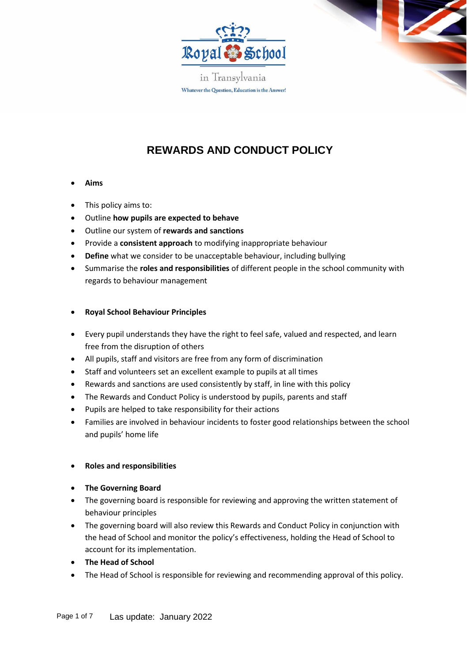

in Transylvania Whatever the Question, Education is the Answer!

# **REWARDS AND CONDUCT POLICY**

- **Aims**
- This policy aims to:
- Outline **how pupils are expected to behave**
- Outline our system of **rewards and sanctions**
- Provide a **consistent approach** to modifying inappropriate behaviour
- **Define** what we consider to be unacceptable behaviour, including bullying
- Summarise the **roles and responsibilities** of different people in the school community with regards to behaviour management

## • **Royal School Behaviour Principles**

- Every pupil understands they have the right to feel safe, valued and respected, and learn free from the disruption of others
- All pupils, staff and visitors are free from any form of discrimination
- Staff and volunteers set an excellent example to pupils at all times
- Rewards and sanctions are used consistently by staff, in line with this policy
- The Rewards and Conduct Policy is understood by pupils, parents and staff
- Pupils are helped to take responsibility for their actions
- Families are involved in behaviour incidents to foster good relationships between the school and pupils' home life

## • **Roles and responsibilities**

- **The Governing Board**
- The governing board is responsible for reviewing and approving the written statement of behaviour principles
- The governing board will also review this Rewards and Conduct Policy in conjunction with the head of School and monitor the policy's effectiveness, holding the Head of School to account for its implementation.
- **The Head of School**
- The Head of School is responsible for reviewing and recommending approval of this policy.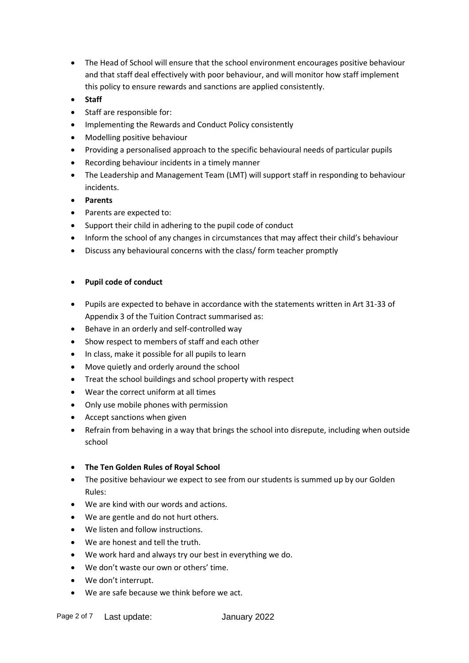- The Head of School will ensure that the school environment encourages positive behaviour and that staff deal effectively with poor behaviour, and will monitor how staff implement this policy to ensure rewards and sanctions are applied consistently.
- **Staff**
- Staff are responsible for:
- Implementing the Rewards and Conduct Policy consistently
- Modelling positive behaviour
- Providing a personalised approach to the specific behavioural needs of particular pupils
- Recording behaviour incidents in a timely manner
- The Leadership and Management Team (LMT) will support staff in responding to behaviour incidents.
- **Parents**
- Parents are expected to:
- Support their child in adhering to the pupil code of conduct
- Inform the school of any changes in circumstances that may affect their child's behaviour
- Discuss any behavioural concerns with the class/ form teacher promptly

#### • **Pupil code of conduct**

- Pupils are expected to behave in accordance with the statements written in Art 31-33 of Appendix 3 of the Tuition Contract summarised as:
- Behave in an orderly and self-controlled way
- Show respect to members of staff and each other
- In class, make it possible for all pupils to learn
- Move quietly and orderly around the school
- Treat the school buildings and school property with respect
- Wear the correct uniform at all times
- Only use mobile phones with permission
- Accept sanctions when given
- Refrain from behaving in a way that brings the school into disrepute, including when outside school
- **The Ten Golden Rules of Royal School**
- The positive behaviour we expect to see from our students is summed up by our Golden Rules:
- We are kind with our words and actions.
- We are gentle and do not hurt others.
- We listen and follow instructions.
- We are honest and tell the truth.
- We work hard and always try our best in everything we do.
- We don't waste our own or others' time.
- We don't interrupt.
- We are safe because we think before we act.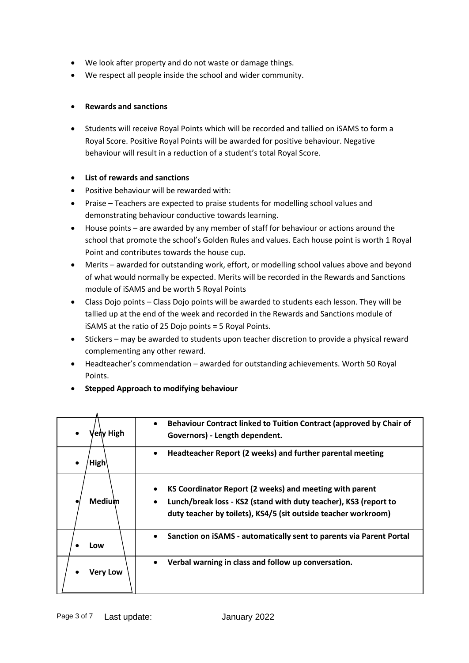- We look after property and do not waste or damage things.
- We respect all people inside the school and wider community.

## • **Rewards and sanctions**

• Students will receive Royal Points which will be recorded and tallied on iSAMS to form a Royal Score. Positive Royal Points will be awarded for positive behaviour. Negative behaviour will result in a reduction of a student's total Royal Score.

## • **List of rewards and sanctions**

- Positive behaviour will be rewarded with:
- Praise Teachers are expected to praise students for modelling school values and demonstrating behaviour conductive towards learning.
- House points are awarded by any member of staff for behaviour or actions around the school that promote the school's Golden Rules and values. Each house point is worth 1 Royal Point and contributes towards the house cup.
- Merits awarded for outstanding work, effort, or modelling school values above and beyond of what would normally be expected. Merits will be recorded in the Rewards and Sanctions module of iSAMS and be worth 5 Royal Points
- Class Dojo points Class Dojo points will be awarded to students each lesson. They will be tallied up at the end of the week and recorded in the Rewards and Sanctions module of iSAMS at the ratio of 25 Dojo points = 5 Royal Points.
- Stickers may be awarded to students upon teacher discretion to provide a physical reward complementing any other reward.
- Headteacher's commendation awarded for outstanding achievements. Worth 50 Royal Points.
- **Stepped Approach to modifying behaviour**

| 'erv High   | Behaviour Contract linked to Tuition Contract (approved by Chair of<br>$\bullet$<br>Governors) - Length dependent.                                                                            |
|-------------|-----------------------------------------------------------------------------------------------------------------------------------------------------------------------------------------------|
| <b>High</b> | Headteacher Report (2 weeks) and further parental meeting<br>$\bullet$                                                                                                                        |
| Medium      | KS Coordinator Report (2 weeks) and meeting with parent<br>Lunch/break loss - KS2 (stand with duty teacher), KS3 (report to<br>duty teacher by toilets), KS4/5 (sit outside teacher workroom) |
| Low         | Sanction on iSAMS - automatically sent to parents via Parent Portal<br>$\bullet$                                                                                                              |
| Very Low    | Verbal warning in class and follow up conversation.<br>$\bullet$                                                                                                                              |

 $\mathbf{r}$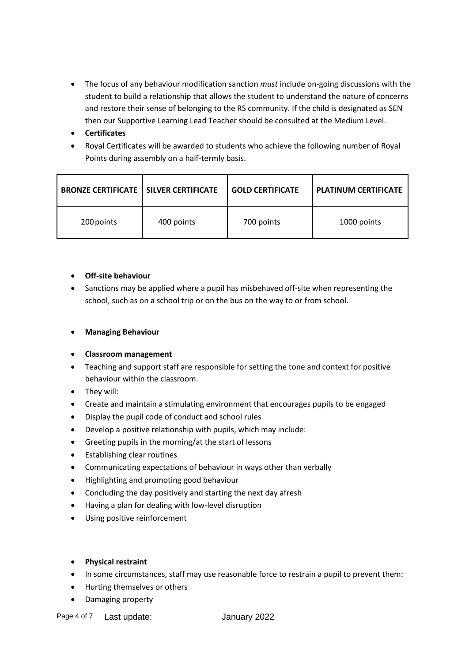- The focus of any behaviour modification sanction *must* include on-going discussions with the student to build a relationship that allows the student to understand the nature of concerns and restore their sense of belonging to the RS community. If the child is designated as SEN then our Supportive Learning Lead Teacher should be consulted at the Medium Level.
- **Certificates**
- Royal Certificates will be awarded to students who achieve the following number of Royal Points during assembly on a half-termly basis.

| <b>BRONZE CERTIFICATE   SILVER CERTIFICATE</b> |            | <b>GOLD CERTIFICATE</b> | <b>PLATINUM CERTIFICATE</b> |
|------------------------------------------------|------------|-------------------------|-----------------------------|
| 200 points                                     | 400 points | 700 points              | 1000 points                 |

## • **Off-site behaviour**

- Sanctions may be applied where a pupil has misbehaved off-site when representing the school, such as on a school trip or on the bus on the way to or from school.
- **Managing Behaviour**

## • **Classroom management**

- Teaching and support staff are responsible for setting the tone and context for positive behaviour within the classroom.
- They will:
- Create and maintain a stimulating environment that encourages pupils to be engaged
- Display the pupil code of conduct and school rules
- Develop a positive relationship with pupils, which may include:
- Greeting pupils in the morning/at the start of lessons
- Establishing clear routines
- Communicating expectations of behaviour in ways other than verbally
- Highlighting and promoting good behaviour
- Concluding the day positively and starting the next day afresh
- Having a plan for dealing with low-level disruption
- Using positive reinforcement
- **Physical restraint**
- In some circumstances, staff may use reasonable force to restrain a pupil to prevent them:
- Hurting themselves or others
- Damaging property

Page 4 of 7 Last update: January 2022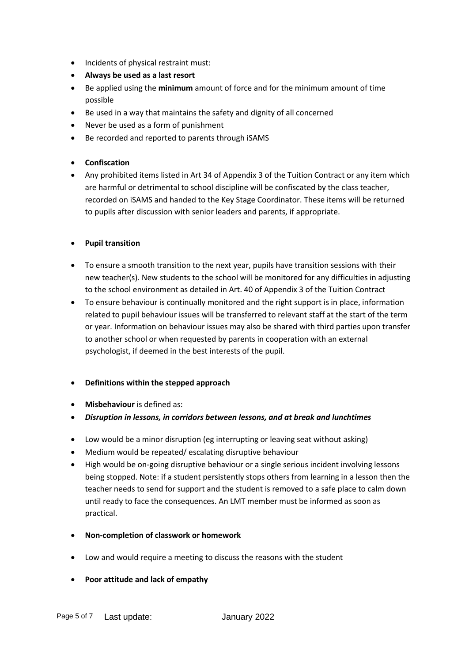- Incidents of physical restraint must:
- **Always be used as a last resort**
- Be applied using the **minimum** amount of force and for the minimum amount of time possible
- Be used in a way that maintains the safety and dignity of all concerned
- Never be used as a form of punishment
- Be recorded and reported to parents through iSAMS
- **Confiscation**
- Any prohibited items listed in Art 34 of Appendix 3 of the Tuition Contract or any item which are harmful or detrimental to school discipline will be confiscated by the class teacher, recorded on iSAMS and handed to the Key Stage Coordinator. These items will be returned to pupils after discussion with senior leaders and parents, if appropriate.

#### • **Pupil transition**

- To ensure a smooth transition to the next year, pupils have transition sessions with their new teacher(s). New students to the school will be monitored for any difficulties in adjusting to the school environment as detailed in Art. 40 of Appendix 3 of the Tuition Contract
- To ensure behaviour is continually monitored and the right support is in place, information related to pupil behaviour issues will be transferred to relevant staff at the start of the term or year. Information on behaviour issues may also be shared with third parties upon transfer to another school or when requested by parents in cooperation with an external psychologist, if deemed in the best interests of the pupil.

## • **Definitions within the stepped approach**

- **Misbehaviour** is defined as:
- *Disruption in lessons, in corridors between lessons, and at break and lunchtimes*
- Low would be a minor disruption (eg interrupting or leaving seat without asking)
- Medium would be repeated/ escalating disruptive behaviour
- High would be on-going disruptive behaviour or a single serious incident involving lessons being stopped. Note: if a student persistently stops others from learning in a lesson then the teacher needs to send for support and the student is removed to a safe place to calm down until ready to face the consequences. An LMT member must be informed as soon as practical.
- **Non-completion of classwork or homework**
- Low and would require a meeting to discuss the reasons with the student
- **Poor attitude and lack of empathy**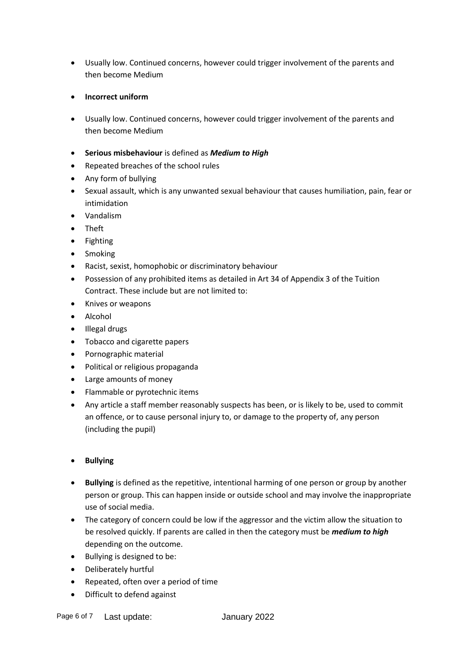- Usually low. Continued concerns, however could trigger involvement of the parents and then become Medium
- **Incorrect uniform**
- Usually low. Continued concerns, however could trigger involvement of the parents and then become Medium
- **Serious misbehaviour** is defined as *Medium to High*
- Repeated breaches of the school rules
- Any form of bullying
- Sexual assault, which is any unwanted sexual behaviour that causes humiliation, pain, fear or intimidation
- Vandalism
- Theft
- Fighting
- Smoking
- Racist, sexist, homophobic or discriminatory behaviour
- Possession of any prohibited items as detailed in Art 34 of Appendix 3 of the Tuition Contract. These include but are not limited to:
- Knives or weapons
- Alcohol
- Illegal drugs
- Tobacco and cigarette papers
- Pornographic material
- Political or religious propaganda
- Large amounts of money
- Flammable or pyrotechnic items
- Any article a staff member reasonably suspects has been, or is likely to be, used to commit an offence, or to cause personal injury to, or damage to the property of, any person (including the pupil)
- **Bullying**
- **Bullying** is defined as the repetitive, intentional harming of one person or group by another person or group. This can happen inside or outside school and may involve the inappropriate use of social media.
- The category of concern could be low if the aggressor and the victim allow the situation to be resolved quickly. If parents are called in then the category must be *medium to high* depending on the outcome.
- Bullying is designed to be:
- Deliberately hurtful
- Repeated, often over a period of time
- Difficult to defend against